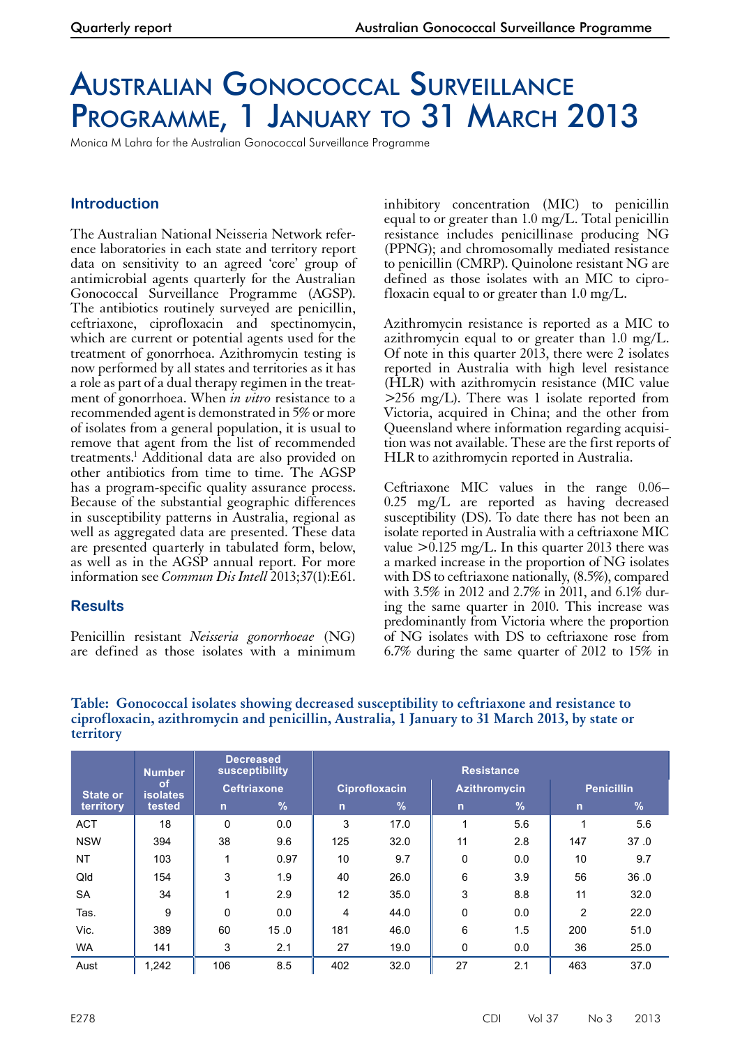# Australian Gonococcal Surveillance PROGRAMME, 1 JANUARY TO 31 MARCH 2013

Monica M Lahra for the Australian Gonococcal Surveillance Programme

## **Introduction**

The Australian National Neisseria Network reference laboratories in each state and territory report data on sensitivity to an agreed 'core' group of antimicrobial agents quarterly for the Australian Gonococcal Surveillance Programme (AGSP). The antibiotics routinely surveyed are penicillin, ceftriaxone, ciprofloxacin and spectinomycin, which are current or potential agents used for the treatment of gonorrhoea. Azithromycin testing is now performed by all states and territories as it has a role as part of a dual therapy regimen in the treatment of gonorrhoea. When *in vitro* resistance to a recommended agent is demonstrated in 5% or more of isolates from a general population, it is usual to remove that agent from the list of recommended treatments.1 Additional data are also provided on other antibiotics from time to time. The AGSP has a program-specific quality assurance process. Because of the substantial geographic differences in susceptibility patterns in Australia, regional as well as aggregated data are presented. These data are presented quarterly in tabulated form, below, as well as in the AGSP annual report. For more information see *Commun Dis Intell* 2013;37(1):E61.

### **Results**

Penicillin resistant *Neisseria gonorrhoeae* (NG) are defined as those isolates with a minimum inhibitory concentration (MIC) to penicillin equal to or greater than 1.0 mg/L. Total penicillin resistance includes penicillinase producing NG (PPNG); and chromosomally mediated resistance to penicillin (CMRP). Quinolone resistant NG are defined as those isolates with an MIC to ciprofloxacin equal to or greater than  $1.0 \text{ mg/L}$ .

Azithromycin resistance is reported as a MIC to azithromycin equal to or greater than 1.0 mg/L. Of note in this quarter 2013, there were 2 isolates reported in Australia with high level resistance (HLR) with azithromycin resistance (MIC value  $>256$  mg/L). There was 1 isolate reported from Victoria, acquired in China; and the other from Queensland where information regarding acquisition was not available. These are the first reports of HLR to azithromycin reported in Australia.

Ceftriaxone MIC values in the range 0.06– 0.25 mg/L are reported as having decreased susceptibility (DS). To date there has not been an isolate reported in Australia with a ceftriaxone MIC value  $>0.125$  mg/L. In this quarter 2013 there was a marked increase in the proportion of NG isolates with DS to ceftriaxone nationally, (8.5%), compared with 3.5% in 2012 and 2.7% in 2011, and 6.1% during the same quarter in 2010. This increase was predominantly from Victoria where the proportion of NG isolates with DS to ceftriaxone rose from 6.7% during the same quarter of 2012 to 15% in

**Table: Gonococcal isolates showing decreased susceptibility to ceftriaxone and resistance to ciprofloxacin, azithromycin and penicillin, Australia, 1 January to 31 March 2013, by state or territory**

|                 | <b>Number</b>                | <b>Decreased</b><br>susceptibility |               | <b>Resistance</b>    |      |                     |      |                   |      |
|-----------------|------------------------------|------------------------------------|---------------|----------------------|------|---------------------|------|-------------------|------|
| <b>State or</b> | <b>of</b><br><b>isolates</b> | <b>Ceftriaxone</b>                 |               | <b>Ciprofloxacin</b> |      | <b>Azithromycin</b> |      | <b>Penicillin</b> |      |
| territory       | tested                       | n                                  | $\frac{9}{6}$ | $\mathsf{n}$         | $\%$ | $\overline{n}$      | $\%$ | $\mathsf{n}$      | $\%$ |
| <b>ACT</b>      | 18                           | 0                                  | 0.0           | 3                    | 17.0 | 1                   | 5.6  | 1                 | 5.6  |
| <b>NSW</b>      | 394                          | 38                                 | 9.6           | 125                  | 32.0 | 11                  | 2.8  | 147               | 37.0 |
| <b>NT</b>       | 103                          | 1                                  | 0.97          | 10                   | 9.7  | $\Omega$            | 0.0  | 10                | 9.7  |
| Qld             | 154                          | 3                                  | 1.9           | 40                   | 26.0 | 6                   | 3.9  | 56                | 36.0 |
| <b>SA</b>       | 34                           | $\overline{\mathbf{A}}$            | 2.9           | 12                   | 35.0 | 3                   | 8.8  | 11                | 32.0 |
| Tas.            | 9                            | $\mathbf 0$                        | 0.0           | 4                    | 44.0 | 0                   | 0.0  | $\overline{2}$    | 22.0 |
| Vic.            | 389                          | 60                                 | 15.0          | 181                  | 46.0 | 6                   | 1.5  | 200               | 51.0 |
| <b>WA</b>       | 141                          | 3                                  | 2.1           | 27                   | 19.0 | $\Omega$            | 0.0  | 36                | 25.0 |
| Aust            | 1.242                        | 106                                | 8.5           | 402                  | 32.0 | 27                  | 2.1  | 463               | 37.0 |